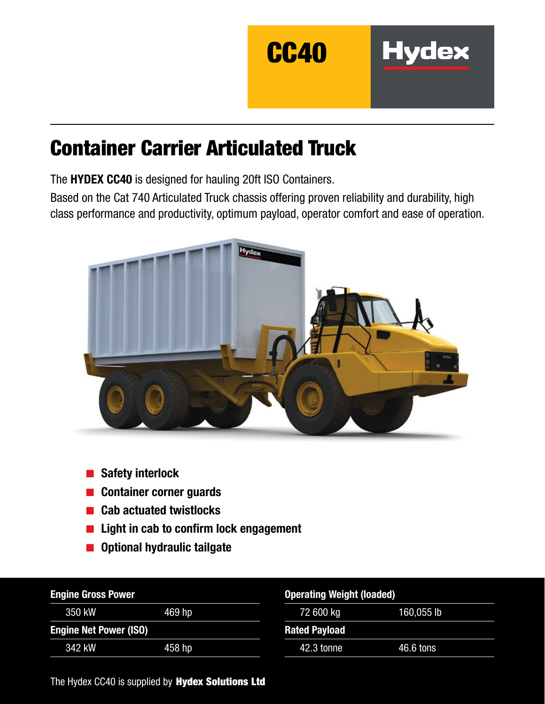

**Hydex** 

# Container Carrier Articulated Truck

The HYDEX CC40 is designed for hauling 20ft ISO Containers.

Based on the Cat 740 Articulated Truck chassis offering proven reliability and durability, high class performance and productivity, optimum payload, operator comfort and ease of operation.



- Safety interlock
- Container corner guards
- **Cab actuated twistlocks**
- Light in cab to confirm lock engagement
- Optional hydraulic tailgate

| <b>Engine Gross Power</b>     |        | <b>Operating Weight (loaded)</b> |            |  |
|-------------------------------|--------|----------------------------------|------------|--|
| 350 kW                        | 469 hp | 72 600 kg                        | 160,055 lb |  |
| <b>Engine Net Power (ISO)</b> |        | <b>Rated Payload</b>             |            |  |
| 342 kW                        | 458 hp | 42.3 tonne                       | 46.6 tons  |  |

The Hydex CC40 is supplied by Hydex Solutions Ltd